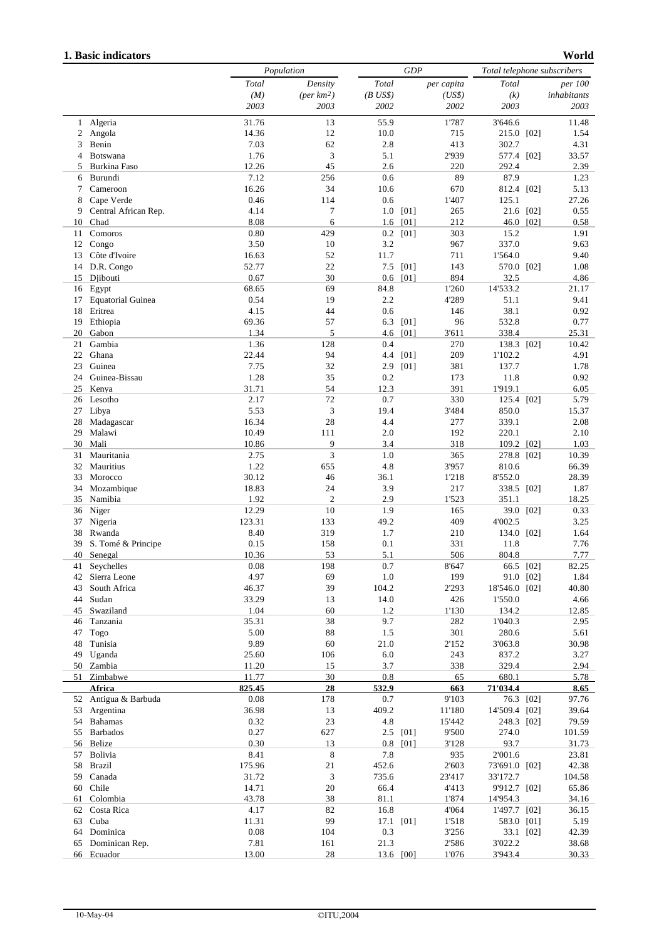## **1. Basic indicators**

```
World
```

|          |                          | Population     |                        |             | <b>GDP</b> |              |                  | Total telephone subscribers |               |  |
|----------|--------------------------|----------------|------------------------|-------------|------------|--------------|------------------|-----------------------------|---------------|--|
|          |                          | Total          | Density                | Total       |            | per capita   | Total            |                             | per 100       |  |
|          |                          | (M)            | (per km <sup>2</sup> ) | $(B$ US\$)  |            | (US\$)       | (k)              |                             | inhabitants   |  |
|          |                          | 2003           | 2003                   | 2002        |            | 2002         | 2003             |                             | 2003          |  |
| 1        | Algeria                  | 31.76          | 13                     | 55.9        |            | 1'787        | 3'646.6          |                             | 11.48         |  |
| 2        | Angola                   | 14.36          | 12                     | 10.0        |            | 715          | 215.0 [02]       |                             | 1.54          |  |
| 3        | Benin                    | 7.03           | 62                     | 2.8         |            | 413          | 302.7            |                             | 4.31          |  |
| 4        | Botswana                 | 1.76           | 3                      | 5.1         |            | 2'939        | 577.4 [02]       |                             | 33.57         |  |
| 5        | Burkina Faso             | 12.26          | 45                     | 2.6         |            | 220          | 292.4            |                             | 2.39          |  |
| 6        | Burundi                  | 7.12           | 256                    | 0.6         |            | 89           | 87.9             |                             | 1.23          |  |
| 7        | Cameroon                 | 16.26          | 34                     | 10.6        |            | 670          | 812.4 [02]       |                             | 5.13          |  |
| 8        | Cape Verde               | 0.46           | 114                    | 0.6         |            | 1'407        | 125.1            |                             | 27.26         |  |
| 9        | Central African Rep.     | 4.14           | 7                      | $1.0\,$     | [01]       | 265          | 21.6 [02]        |                             | 0.55          |  |
| 10       | Chad                     | 8.08           | 6                      | 1.6         | [01]       | 212          | 46.0 [02]        |                             | 0.58          |  |
| 11       | Comoros                  | 0.80           | 429                    |             | $0.2$ [01] | 303          | 15.2             |                             | 1.91          |  |
| 12       | Congo                    | 3.50           | 10                     | 3.2         |            | 967          | 337.0            |                             | 9.63          |  |
| 13       | Côte d'Ivoire            | 16.63          | 52                     | 11.7        |            | 711          | 1'564.0          |                             | 9.40          |  |
| 14       | D.R. Congo               | 52.77          | 22                     | 7.5         | [01]       | 143          | 570.0 [02]       |                             | 1.08          |  |
| 15       | Djibouti<br>Egypt        | 0.67<br>68.65  | 30<br>69               | 0.6<br>84.8 | [01]       | 894<br>1'260 | 32.5<br>14'533.2 |                             | 4.86<br>21.17 |  |
| 16<br>17 | <b>Equatorial Guinea</b> | 0.54           | 19                     | 2.2         |            | 4'289        | 51.1             |                             | 9.41          |  |
| 18       | Eritrea                  | 4.15           | 44                     | 0.6         |            | 146          | 38.1             |                             | 0.92          |  |
| 19       | Ethiopia                 | 69.36          | 57                     | 6.3         | [01]       | 96           | 532.8            |                             | 0.77          |  |
| 20       | Gabon                    | 1.34           | 5                      | 4.6         | [01]       | 3'611        | 338.4            |                             | 25.31         |  |
| 21       | Gambia                   | 1.36           | 128                    | 0.4         |            | 270          | 138.3 [02]       |                             | 10.42         |  |
| 22       | Ghana                    | 22.44          | 94                     | 4.4         | [01]       | 209          | 1'102.2          |                             | 4.91          |  |
| 23       | Guinea                   | 7.75           | 32                     | 2.9         | [01]       | 381          | 137.7            |                             | 1.78          |  |
| 24       | Guinea-Bissau            | 1.28           | 35                     | 0.2         |            | 173          | 11.8             |                             | 0.92          |  |
| 25       | Kenya                    | 31.71          | 54                     | 12.3        |            | 391          | 1'919.1          |                             | 6.05          |  |
| 26       | Lesotho                  | 2.17           | 72                     | 0.7         |            | 330          | 125.4 [02]       |                             | 5.79          |  |
| 27       | Libya                    | 5.53           | 3                      | 19.4        |            | 3'484        | 850.0            |                             | 15.37         |  |
| 28       | Madagascar               | 16.34          | 28                     | 4.4         |            | 277          | 339.1            |                             | 2.08          |  |
| 29       | Malawi                   | 10.49          | 111                    | 2.0         |            | 192          | 220.1            |                             | 2.10          |  |
| 30       | Mali                     | 10.86          | 9                      | 3.4         |            | 318          | 109.2 [02]       |                             | 1.03          |  |
| 31       | Mauritania               | 2.75           | 3                      | 1.0         |            | 365          | 278.8 [02]       |                             | 10.39         |  |
| 32       | Mauritius                | 1.22           | 655                    | 4.8         |            | 3'957        | 810.6            |                             | 66.39         |  |
| 33       | Morocco                  | 30.12          | 46                     | 36.1        |            | 1'218        | 8'552.0          |                             | 28.39         |  |
| 34       | Mozambique               | 18.83          | 24                     | 3.9         |            | 217          | 338.5 [02]       |                             | 1.87          |  |
| 35       | Namibia                  | 1.92           | $\overline{c}$         | 2.9         |            | 1'523        | 351.1            |                             | 18.25         |  |
| 36       | Niger                    | 12.29          | 10                     | 1.9         |            | 165          |                  | 39.0 [02]                   | 0.33          |  |
| 37       | Nigeria                  | 123.31         | 133                    | 49.2        |            | 409          | 4'002.5          |                             | 3.25          |  |
| 38       | Rwanda                   | 8.40           | 319                    | 1.7         |            | 210          | 134.0 [02]       |                             | 1.64          |  |
| 39       | S. Tomé & Principe       | 0.15           | 158                    | 0.1         |            | 331          | 11.8             |                             | 7.76          |  |
| 40       | Senegal                  | 10.36          | 53                     | 5.1         |            | 506          | 804.8            |                             | 7.77          |  |
|          | 41 Seychelles            | $0.08\,$       | 198                    | $0.7\,$     |            | 8'647        | 66.5 [02]        |                             | 82.25         |  |
|          | 42 Sierra Leone          | 4.97           | 69                     | 1.0         |            | 199          | 91.0 [02]        |                             | 1.84          |  |
| 43       | South Africa             | 46.37          | 39                     | 104.2       |            | 2'293        | 18'546.0 [02]    |                             | 40.80         |  |
|          | 44 Sudan                 | 33.29          | 13                     | 14.0        |            | 426          | 1'550.0          |                             | 4.66          |  |
|          | 45 Swaziland             | 1.04           | 60                     | 1.2         |            | 1'130        | 134.2            |                             | 12.85         |  |
| 46       | Tanzania                 | 35.31          | 38                     | 9.7         |            | 282          | 1'040.3          |                             | 2.95          |  |
| 47<br>48 | Togo<br>Tunisia          | 5.00<br>9.89   | 88<br>60               | 1.5         |            | 301          | 280.6            |                             | 5.61          |  |
|          |                          |                |                        | 21.0        |            | 2'152        | 3'063.8          |                             | 30.98         |  |
| 49       | Uganda<br>50 Zambia      | 25.60<br>11.20 | 106<br>15              | 6.0<br>3.7  |            | 243<br>338   | 837.2<br>329.4   |                             | 3.27<br>2.94  |  |
|          | 51 Zimbabwe              | 11.77          | 30                     | 0.8         |            | 65           | 680.1            |                             | 5.78          |  |
|          | Africa                   | 825.45         | 28                     | 532.9       |            | 663          | 71'034.4         |                             | 8.65          |  |
|          | 52 Antigua & Barbuda     | 0.08           | 178                    | 0.7         |            | 9'103        | 76.3 [02]        |                             | 97.76         |  |
|          | 53 Argentina             | 36.98          | 13                     | 409.2       |            | 11'180       | 14'509.4 [02]    |                             | 39.64         |  |
|          | 54 Bahamas               | 0.32           | $23\,$                 | 4.8         |            | 15'442       | 248.3 [02]       |                             | 79.59         |  |
|          | 55 Barbados              | 0.27           | 627                    |             | $2.5$ [01] | 9'500        | 274.0            |                             | 101.59        |  |
|          | 56 Belize                | 0.30           | 13                     |             | $0.8$ [01] | 3'128        | 93.7             |                             | 31.73         |  |
| 57       | Bolivia                  | 8.41           | 8                      | 7.8         |            | 935          | 2'001.6          |                             | 23.81         |  |
| 58       | Brazil                   | 175.96         | 21                     | 452.6       |            | 2'603        | 73'691.0 [02]    |                             | 42.38         |  |
| 59       | Canada                   | 31.72          | 3                      | 735.6       |            | 23'417       | 33'172.7         |                             | 104.58        |  |
| 60       | Chile                    | 14.71          | 20                     | 66.4        |            | 4'413        | 9'912.7 [02]     |                             | 65.86         |  |
|          | 61 Colombia              | 43.78          | 38                     | 81.1        |            | 1'874        | 14'954.3         |                             | 34.16         |  |
|          | 62 Costa Rica            | 4.17           | 82                     | 16.8        |            | 4'064        | 1'497.7 [02]     |                             | 36.15         |  |
|          | 63 Cuba                  | 11.31          | 99                     |             | 17.1 [01]  | 1'518        | 583.0 [01]       |                             | 5.19          |  |
|          | 64 Dominica              | 0.08           | 104                    | 0.3         |            | 3'256        | 33.1 [02]        |                             | 42.39         |  |
|          | 65 Dominican Rep.        | 7.81           | 161                    | 21.3        |            | 2'586        | 3'022.2          |                             | 38.68         |  |
|          | 66 Ecuador               | 13.00          | 28                     |             | 13.6 [00]  | 1'076        | 3'943.4          |                             | 30.33         |  |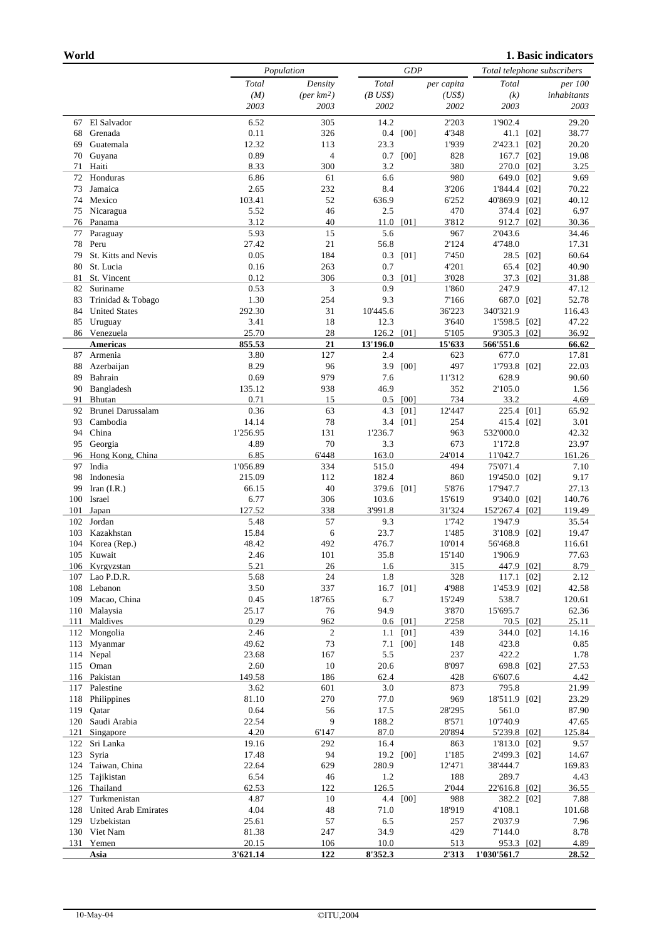|            |                         |                    | Population            |                | <b>GDP</b> |                 |                              | Total telephone subscribers |                 |  |
|------------|-------------------------|--------------------|-----------------------|----------------|------------|-----------------|------------------------------|-----------------------------|-----------------|--|
|            |                         | Total              | Density               | Total          |            | per capita      | Total                        |                             | <i>per</i> 100  |  |
|            |                         | (M)                | $(\text{per km2})$    | $(B$ US\$)     |            | (US\$)          | (k)                          |                             | inhabitants     |  |
|            |                         | 2003               | 2003                  | 2002           |            | 2002            | 2003                         |                             | 2003            |  |
| 67         | El Salvador             | 6.52               | 305                   | 14.2           |            | 2'203           | 1'902.4                      |                             | 29.20           |  |
| 68         | Grenada                 | 0.11               | 326                   | 0.4            | [00]       | 4'348           |                              | 41.1 [02]                   | 38.77           |  |
| 69         | Guatemala               | 12.32              | 113                   | 23.3           |            | 1'939           | 2'423.1 [02]                 |                             | 20.20           |  |
| 70<br>71   | Guyana<br>Haiti         | 0.89<br>8.33       | $\overline{4}$<br>300 | 0.7<br>3.2     | [00]       | 828<br>380      | 167.7 [02]                   |                             | 19.08<br>3.25   |  |
| 72         | Honduras                | 6.86               | 61                    | 6.6            |            | 980             | 270.0 [02]<br>649.0 [02]     |                             | 9.69            |  |
| 73         | Jamaica                 | 2.65               | 232                   | 8.4            |            | 3'206           | 1'844.4 [02]                 |                             | 70.22           |  |
| 74         | Mexico                  | 103.41             | 52                    | 636.9          |            | 6'252           | 40'869.9 [02]                |                             | 40.12           |  |
| 75         | Nicaragua               | 5.52               | 46                    | 2.5            |            | 470             | 374.4 [02]                   |                             | 6.97            |  |
| 76         | Panama                  | 3.12               | 40                    | 11.0           | [01]       | 3'812           | 912.7 [02]                   |                             | 30.36           |  |
| 77         | Paraguay                | 5.93               | 15                    | 5.6            |            | 967             | 2'043.6                      |                             | 34.46           |  |
| 78         | Peru                    | 27.42              | 21                    | 56.8           |            | 2'124           | 4'748.0                      |                             | 17.31           |  |
| 79         | St. Kitts and Nevis     | 0.05               | 184                   | 0.3            | [01]       | 7'450           |                              | 28.5 [02]                   | 60.64           |  |
| 80         | St. Lucia               | 0.16               | 263                   | 0.7            |            | 4'201           | 65.4 [02]                    |                             | 40.90           |  |
| 81         | St. Vincent             | 0.12               | 306                   | 0.3            | [01]       | 3'028           | 37.3 [02]                    |                             | 31.88           |  |
| 82         | Suriname                | 0.53               | 3                     | 0.9            |            | 1'860           | 247.9                        |                             | 47.12           |  |
| 83         | Trinidad & Tobago       | 1.30               | 254                   | 9.3            |            | 7'166           | 687.0 [02]                   |                             | 52.78           |  |
| 84         | <b>United States</b>    | 292.30             | 31                    | 10'445.6       |            | 36'223          | 340'321.9                    |                             | 116.43          |  |
| 85         | Uruguay<br>86 Venezuela | 3.41<br>25.70      | 18<br>28              | 12.3<br>126.2  | [01]       | 3'640<br>5'105  | 1'598.5 [02]<br>9'305.3 [02] |                             | 47.22<br>36.92  |  |
|            | <b>Americas</b>         | 855.53             | 21                    | 13'196.0       |            | 15'633          | 566'551.6                    |                             | 66.62           |  |
| 87         | Armenia                 | 3.80               | 127                   | 2.4            |            | 623             | 677.0                        |                             | 17.81           |  |
| 88         | Azerbaijan              | 8.29               | 96                    | 3.9            | [00]       | 497             | 1'793.8 [02]                 |                             | 22.03           |  |
| 89         | Bahrain                 | 0.69               | 979                   | 7.6            |            | 11'312          | 628.9                        |                             | 90.60           |  |
| 90         | Bangladesh              | 135.12             | 938                   | 46.9           |            | 352             | 2'105.0                      |                             | 1.56            |  |
| 91         | Bhutan                  | 0.71               | 15                    | 0.5            | [00]       | 734             | 33.2                         |                             | 4.69            |  |
| 92         | Brunei Darussalam       | 0.36               | 63                    | 4.3            | [01]       | 12'447          | 225.4 [01]                   |                             | 65.92           |  |
| 93         | Cambodia                | 14.14              | 78                    | 3.4            | [01]       | 254             | 415.4 [02]                   |                             | 3.01            |  |
| 94         | China                   | 1'256.95           | 131                   | 1'236.7        |            | 963             | 532'000.0                    |                             | 42.32           |  |
| 95         | Georgia                 | 4.89               | 70                    | 3.3            |            | 673             | 1'172.8                      |                             | 23.97           |  |
| 96         | Hong Kong, China        | 6.85               | 6'448                 | 163.0          |            | 24'014          | 11'042.7                     |                             | 161.26          |  |
| 97<br>98   | India<br>Indonesia      | 1'056.89<br>215.09 | 334<br>112            | 515.0<br>182.4 |            | 494<br>860      | 75'071.4                     |                             | 7.10<br>9.17    |  |
| 99         | Iran $(I.R.)$           | 66.15              | 40                    | 379.6 [01]     |            | 5'876           | 19'450.0 [02]<br>17'947.7    |                             | 27.13           |  |
| 100        | Israel                  | 6.77               | 306                   | 103.6          |            | 15'619          | 9'340.0 [02]                 |                             | 140.76          |  |
| 101        | Japan                   | 127.52             | 338                   | 3'991.8        |            | 31'324          | 152'267.4 [02]               |                             | 119.49          |  |
| 102        | Jordan                  | 5.48               | 57                    | 9.3            |            | 1'742           | 1'947.9                      |                             | 35.54           |  |
| 103        | Kazakhstan              | 15.84              | 6                     | 23.7           |            | 1'485           | 3'108.9 [02]                 |                             | 19.47           |  |
| 104        | Korea (Rep.)            | 48.42              | 492                   | 476.7          |            | 10'014          | 56'468.8                     |                             | 116.61          |  |
|            | 105 Kuwait              | 2.46               | 101                   | 35.8           |            | 15'140          | 1'906.9                      |                             | 77.63           |  |
|            | 106 Kyrgyzstan          | 5.21               | 26                    | 1.6            |            | 315             | 447.9 [02]                   |                             | 8.79            |  |
|            | 107 Lao P.D.R.          | 5.68               | 24                    | 1.8            |            | 328             | 117.1 [02]                   |                             | 2.12            |  |
| 108        | Lebanon                 | 3.50               | 337                   |                | 16.7 [01]  | 4'988           | 1'453.9 [02]                 |                             | 42.58           |  |
| 109        | Macao, China            | 0.45               | 18'765                | 6.7            |            | 15'249          | 538.7                        |                             | 120.61          |  |
| 110<br>111 | Malaysia<br>Maldives    | 25.17<br>0.29      | 76<br>962             | 94.9           | $0.6$ [01] | 3'870<br>2'258  | 15'695.7<br>70.5 [02]        |                             | 62.36<br>25.11  |  |
| 112        | Mongolia                | 2.46               | $\boldsymbol{2}$      | 1.1            | [01]       | 439             | 344.0 [02]                   |                             | 14.16           |  |
| 113        | Myanmar                 | 49.62              | 73                    | 7.1            | [00]       | 148             | 423.8                        |                             | 0.85            |  |
|            | 114 Nepal               | 23.68              | 167                   | 5.5            |            | 237             | 422.2                        |                             | 1.78            |  |
|            | 115 Oman                | 2.60               | 10                    | 20.6           |            | 8'097           | 698.8 [02]                   |                             | 27.53           |  |
|            | 116 Pakistan            | 149.58             | 186                   | 62.4           |            | 428             | 6'607.6                      |                             | 4.42            |  |
| 117        | Palestine               | 3.62               | 601                   | 3.0            |            | 873             | 795.8                        |                             | 21.99           |  |
| 118        | Philippines             | 81.10              | 270                   | 77.0           |            | 969             | 18'511.9 [02]                |                             | 23.29           |  |
| 119        | Qatar                   | 0.64               | 56                    | 17.5           |            | 28'295          | 561.0                        |                             | 87.90           |  |
| 120        | Saudi Arabia            | 22.54              | 9                     | 188.2          |            | 8'571           | 10'740.9                     |                             | 47.65           |  |
| 121        | Singapore               | 4.20               | 6'147                 | 87.0           |            | 20'894          | 5'239.8 [02]                 |                             | 125.84          |  |
| 122<br>123 | Sri Lanka               | 19.16              | 292<br>94             | 16.4           |            | 863             | 1'813.0 [02]                 |                             | 9.57            |  |
| 124        | Syria<br>Taiwan, China  | 17.48<br>22.64     | 629                   | 280.9          | 19.2 [00]  | 1'185<br>12'471 | 2'499.3 [02]<br>38'444.7     |                             | 14.67<br>169.83 |  |
| 125        | Tajikistan              | 6.54               | 46                    | 1.2            |            | 188             | 289.7                        |                             | 4.43            |  |
| 126        | Thailand                | 62.53              | 122                   | 126.5          |            | 2'044           | 22'616.8 [02]                |                             | 36.55           |  |
| 127        | Turkmenistan            | 4.87               | 10                    | 4.4            | [00]       | 988             | 382.2 [02]                   |                             | 7.88            |  |
| 128        | United Arab Emirates    | 4.04               | 48                    | 71.0           |            | 18'919          | 4'108.1                      |                             | 101.68          |  |
| 129        | Uzbekistan              | 25.61              | 57                    | 6.5            |            | 257             | 2'037.9                      |                             | 7.96            |  |
| 130        | Viet Nam                | 81.38              | 247                   | 34.9           |            | 429             | 7'144.0                      |                             | 8.78            |  |
| 131        | Yemen                   | 20.15              | 106                   | 10.0           |            | 513             | 953.3 [02]                   |                             | 4.89            |  |
|            | Asia                    | 3'621.14           | 122                   | 8'352.3        |            | 2'313           | 1'030'561.7                  |                             | 28.52           |  |